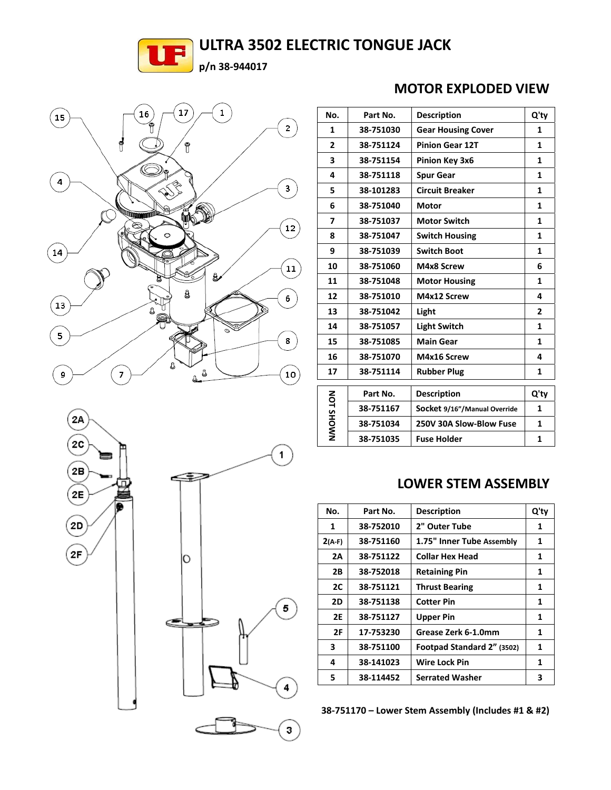## **ULTRA 3502 ELECTRIC TONGUE JACK**







| No.               | Part No.  | <b>Description</b>           | Q'ty         |
|-------------------|-----------|------------------------------|--------------|
| 1                 | 38-751030 | <b>Gear Housing Cover</b>    | 1            |
| $\overline{2}$    | 38-751124 | <b>Pinion Gear 12T</b>       | 1            |
| 3                 | 38-751154 | Pinion Key 3x6               | $\mathbf{1}$ |
| 4                 | 38-751118 | <b>Spur Gear</b>             | 1            |
| 5                 | 38-101283 | <b>Circuit Breaker</b>       | $\mathbf{1}$ |
| 6                 | 38-751040 | <b>Motor</b>                 | 1            |
| 7                 | 38-751037 | <b>Motor Switch</b>          | 1            |
| 8                 | 38-751047 | <b>Switch Housing</b>        | 1            |
| 9                 | 38-751039 | <b>Switch Boot</b>           | 1            |
| 10                | 38-751060 | M4x8 Screw                   | 6            |
| 11                | 38-751048 | <b>Motor Housing</b>         | 1            |
| 12                | 38-751010 | M4x12 Screw                  | 4            |
| 13                | 38-751042 | Light                        | $\mathbf{2}$ |
| 14                | 38-751057 | <b>Light Switch</b>          | 1            |
| 15                | 38-751085 | <b>Main Gear</b>             | 1            |
| 16                | 38-751070 | M4x16 Screw                  | 4            |
| 17                | 38-751114 | <b>Rubber Plug</b>           | 1            |
| <b>NANOHS 10N</b> | Part No.  | <b>Description</b>           | Q'ty         |
|                   | 38-751167 | Socket 9/16"/Manual Override | 1            |
|                   | 38-751034 | 250V 30A Slow-Blow Fuse      | $\mathbf{1}$ |
|                   | 38-751035 | <b>Fuse Holder</b>           | 1            |
|                   |           |                              |              |

### **LOWER STEM ASSEMBLY**

| No.       | Part No.  | <b>Description</b>         | Q'ty |
|-----------|-----------|----------------------------|------|
| 1         | 38-752010 | 2" Outer Tube              | 1    |
| $2(A-F)$  | 38-751160 | 1.75" Inner Tube Assembly  | 1    |
| 2A        | 38-751122 | <b>Collar Hex Head</b>     | 1    |
| 2B        | 38-752018 | <b>Retaining Pin</b>       | 1    |
| 2C        | 38-751121 | <b>Thrust Bearing</b>      | 1    |
| 2D        | 38-751138 | <b>Cotter Pin</b>          | 1    |
| <b>2E</b> | 38-751127 | <b>Upper Pin</b>           | 1    |
| 2F        | 17-753230 | Grease Zerk 6-1.0mm        | 1    |
| 3         | 38-751100 | Footpad Standard 2" (3502) | 1    |
| 4         | 38-141023 | <b>Wire Lock Pin</b>       | 1    |
| 5         | 38-114452 | <b>Serrated Washer</b>     | 3    |

**‐751170 – Lower Stem Assembly (Includes #1 & #2)** 

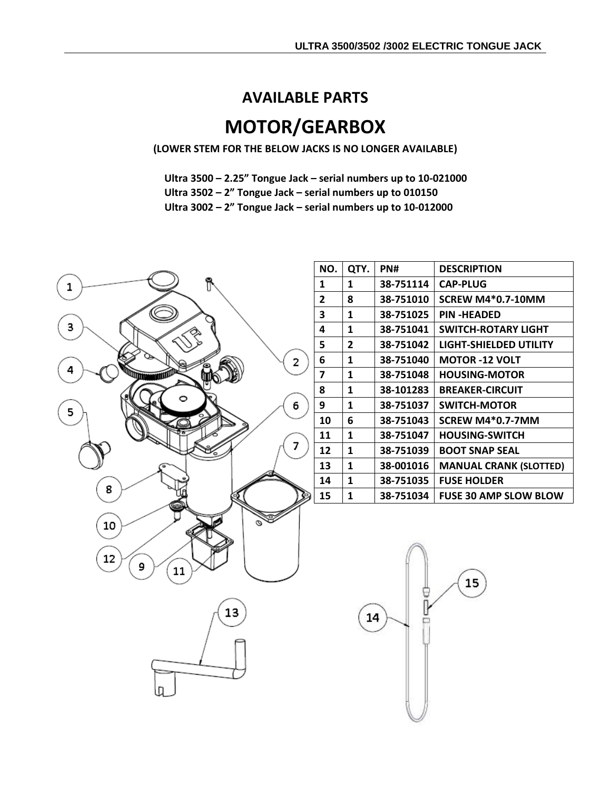### **AVAILABLE PARTS**

# **MOTOR/GEARBOX**

**(LOWER STEM FOR THE BELOW JACKS IS NO LONGER AVAILABLE)**

**Ultra 3500 – 2.25" Tongue Jack – serial numbers up to 10‐021000**

**Ultra 3502 – 2" Tongue Jack – serial numbers up to 010150**

**Ultra 3002 – 2" Tongue Jack – serial numbers up to 10‐012000**



| NO. | QTY. | PN#       | <b>DESCRIPTION</b>            |
|-----|------|-----------|-------------------------------|
| 1   | 1    | 38-751114 | <b>CAP-PLUG</b>               |
| 2   | 8    | 38-751010 | <b>SCREW M4*0.7-10MM</b>      |
| 3   | 1    | 38-751025 | <b>PIN-HEADED</b>             |
| 4   | 1    | 38-751041 | <b>SWITCH-ROTARY LIGHT</b>    |
| 5   | 2    | 38-751042 | LIGHT-SHIELDED UTILITY        |
| 6   | 1    | 38-751040 | <b>MOTOR -12 VOLT</b>         |
| 7   | 1    | 38-751048 | <b>HOUSING-MOTOR</b>          |
| 8   | 1    | 38-101283 | <b>BREAKER-CIRCUIT</b>        |
| 9   | 1    | 38-751037 | <b>SWITCH-MOTOR</b>           |
| 10  | 6    | 38-751043 | SCREW M4*0.7-7MM              |
| 11  | 1    | 38-751047 | <b>HOUSING-SWITCH</b>         |
| 12  | 1    | 38-751039 | <b>BOOT SNAP SEAL</b>         |
| 13  | 1    | 38-001016 | <b>MANUAL CRANK (SLOTTED)</b> |
| 14  | 1    | 38-751035 | <b>FUSE HOLDER</b>            |
| 15  | 1    | 38-751034 | <b>FUSE 30 AMP SLOW BLOW</b>  |

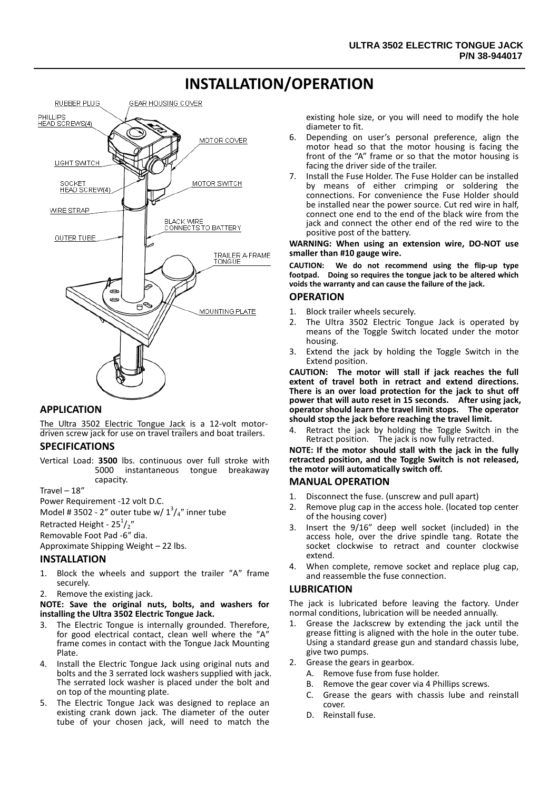## **INSTALLATION/OPERATION**



#### **APPLICATION**

The Ultra 3502 [Electric Tongue Jack](https://www.carid.com/rv-jacks-levelers.html) is a 12-volt motordriven screw jack for use on travel trailers and boat trailers.

#### **SPECIFICATIONS**

Vertical Load: **3500** lbs. continuous over full stroke with 5000 instantaneous tongue breakaway capacity.

Travel – 18″

Power Requirement -12 volt D.C.

Model # 3502 - 2" outer tube w/  $1^3/4$ " inner tube

Retracted Height -  $25^{1}/2''$ 

Removable Foot Pad -6″ dia.

Approximate Shipping Weight – 22 lbs.

#### **INSTALLATION**

- 1. Block the wheels and support the trailer ″A″ frame securely.
- 2. Remove the existing jack.

**NOTE: Save the original nuts, bolts, and washers for installing the Ultra 3502 Electric Tongue Jack.**

- 3. The Electric Tongue is internally grounded. Therefore, for good electrical contact, clean well where the ″A″ frame comes in contact with the Tongue Jack Mounting Plate.
- 4. Install the Electric Tongue Jack using original nuts and bolts and the 3 serrated lock washers supplied with jack. The serrated lock washer is placed under the bolt and on top of the mounting plate.
- 5. The Electric Tongue Jack was designed to replace an existing crank down jack. The diameter of the outer tube of your chosen jack, will need to match the

existing hole size, or you will need to modify the hole diameter to fit.

- 6. Depending on user's personal preference, align the motor head so that the motor housing is facing the front of the "A" frame or so that the motor housing is facing the driver side of the trailer.
- 7. Install the Fuse Holder. The Fuse Holder can be installed by means of either crimping or soldering the connections. For convenience the Fuse Holder should be installed near the power source. Cut red wire in half, connect one end to the end of the black wire from the jack and connect the other end of the red wire to the positive post of the battery.

#### **WARNING: When using an extension wire, DO-NOT use smaller than #10 gauge wire.**

**CAUTION: We do not recommend using the flip-up type footpad. Doing so requires the tongue jack to be altered which voids the warranty and can cause the failure of the jack.**

#### **OPERATION**

- 1. Block trailer wheels securely.
- 2. The Ultra 3502 Electric Tongue Jack is operated by means of the Toggle Switch located under the motor housing.
- 3. Extend the jack by holding the Toggle Switch in the Extend position.

**CAUTION: The motor will stall if jack reaches the full extent of travel both in retract and extend directions. There is an over load protection for the jack to shut off power that will auto reset in 15 seconds. After using jack, operator should learn the travel limit stops. The operator should stop the jack before reaching the travel limit.** 

4. Retract the jack by holding the Toggle Switch in the Retract position. The jack is now fully retracted.

**NOTE: If the motor should stall with the jack in the fully retracted position, and the Toggle Switch is not released, the motor will automatically switch off.**

#### **MANUAL OPERATION**

- 1. Disconnect the fuse. (unscrew and pull apart)
- 2. Remove plug cap in the access hole. (located top center of the housing cover)
- 3. Insert the 9/16" deep well socket (included) in the access hole, over the drive spindle tang. Rotate the socket clockwise to retract and counter clockwise extend.
- 4. When complete, remove socket and replace plug cap, and reassemble the fuse connection.

#### **LUBRICATION**

The jack is lubricated before leaving the factory. Under normal conditions, lubrication will be needed annually.

- Grease the Jackscrew by extending the jack until the grease fitting is aligned with the hole in the outer tube. Using a standard grease gun and standard chassis lube, give two pumps.
- 2. Grease the gears in gearbox.
	- A. Remove fuse from fuse holder.
	- B. Remove the gear cover via 4 Phillips screws.
	- C. Grease the gears with chassis lube and reinstall cover.
	- D. Reinstall fuse.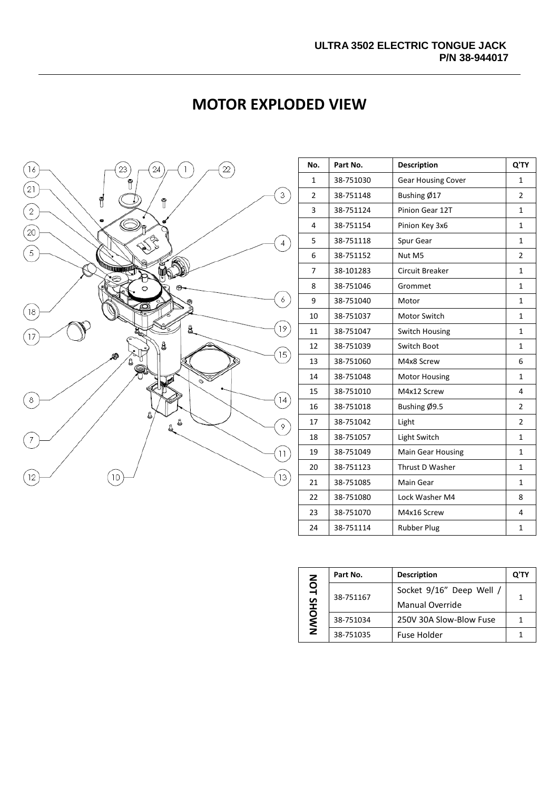

| <b>MOTOR EXPLODED VIEW</b> |  |  |  |  |
|----------------------------|--|--|--|--|
|----------------------------|--|--|--|--|

| No.            | Part No.  | <b>Description</b>        | Q'TY           |
|----------------|-----------|---------------------------|----------------|
| 1              | 38-751030 | <b>Gear Housing Cover</b> | 1              |
| $\overline{2}$ | 38-751148 | Bushing Ø17               | $\overline{2}$ |
| 3              | 38-751124 | Pinion Gear 12T           | $\mathbf 1$    |
| 4              | 38-751154 | Pinion Key 3x6            | $\mathbf 1$    |
| 5              | 38-751118 | Spur Gear                 | $\mathbf 1$    |
| 6              | 38-751152 | Nut M5                    | $\overline{2}$ |
| $\overline{7}$ | 38-101283 | <b>Circuit Breaker</b>    | $\mathbf{1}$   |
| 8              | 38-751046 | Grommet                   | 1              |
| 9              | 38-751040 | Motor                     | $\mathbf 1$    |
| 10             | 38-751037 | Motor Switch              | $\mathbf 1$    |
| 11             | 38-751047 | <b>Switch Housing</b>     | $\mathbf{1}$   |
| 12             | 38-751039 | Switch Boot               | $\mathbf{1}$   |
| 13             | 38-751060 | M4x8 Screw                | 6              |
| 14             | 38-751048 | <b>Motor Housing</b>      | $\mathbf 1$    |
| 15             | 38-751010 | M4x12 Screw               | 4              |
| 16             | 38-751018 | Bushing Ø9.5              | $\overline{2}$ |
| 17             | 38-751042 | Light                     | $\overline{2}$ |
| 18             | 38-751057 | Light Switch              | $\mathbf{1}$   |
| 19             | 38-751049 | <b>Main Gear Housing</b>  | $\mathbf{1}$   |
| 20             | 38-751123 | Thrust D Washer           | $\mathbf{1}$   |
| 21             | 38-751085 | Main Gear                 | $\mathbf{1}$   |
| 22             | 38-751080 | Lock Washer M4            | 8              |
| 23             | 38-751070 | M4x16 Screw               | 4              |
| 24             | 38-751114 | <b>Rubber Plug</b>        | 1              |

| NOT<br>오<br>노<br>NWO | Part No.  | <b>Description</b>       | Q'T |
|----------------------|-----------|--------------------------|-----|
|                      | 38-751167 | Socket 9/16" Deep Well / | 1   |
|                      |           | <b>Manual Override</b>   |     |
|                      | 38-751034 | 250V 30A Slow-Blow Fuse  |     |
|                      | 38-751035 | <b>Fuse Holder</b>       |     |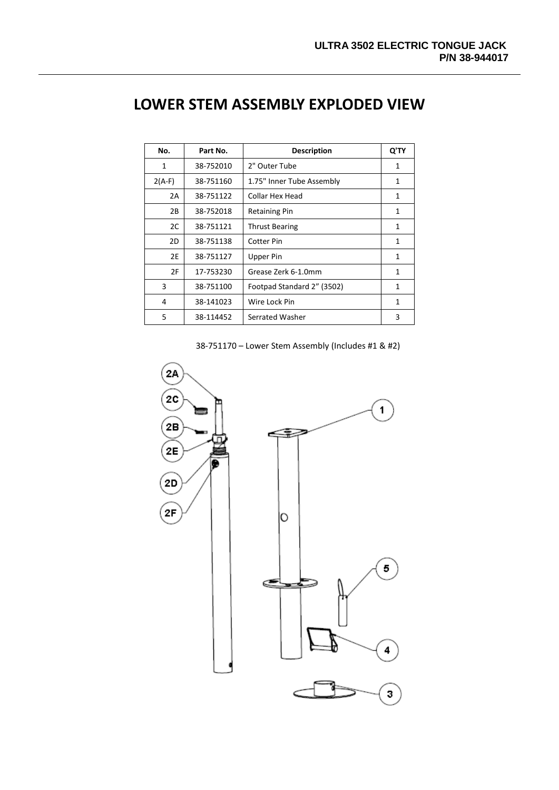| No.      | Part No.  | <b>Description</b>         | Q'TY |
|----------|-----------|----------------------------|------|
| 1        | 38-752010 | 2" Outer Tube              | 1    |
| $2(A-F)$ | 38-751160 | 1.75" Inner Tube Assembly  | 1    |
| 2A       | 38-751122 | Collar Hex Head            | 1    |
| 2B       | 38-752018 | <b>Retaining Pin</b>       | 1    |
| 2C       | 38-751121 | <b>Thrust Bearing</b>      | 1    |
| 2D       | 38-751138 | <b>Cotter Pin</b>          | 1    |
| 2E       | 38-751127 | Upper Pin                  | 1    |
| 2F       | 17-753230 | Grease Zerk 6-1.0mm        | 1    |
| 3        | 38-751100 | Footpad Standard 2" (3502) | 1    |
| 4        | 38-141023 | Wire Lock Pin              | 1    |
| 5        | 38-114452 | Serrated Washer            | 3    |

# **LOWER STEM ASSEMBLY EXPLODED VIEW**

38-751170 – Lower Stem Assembly (Includes #1 & #2)

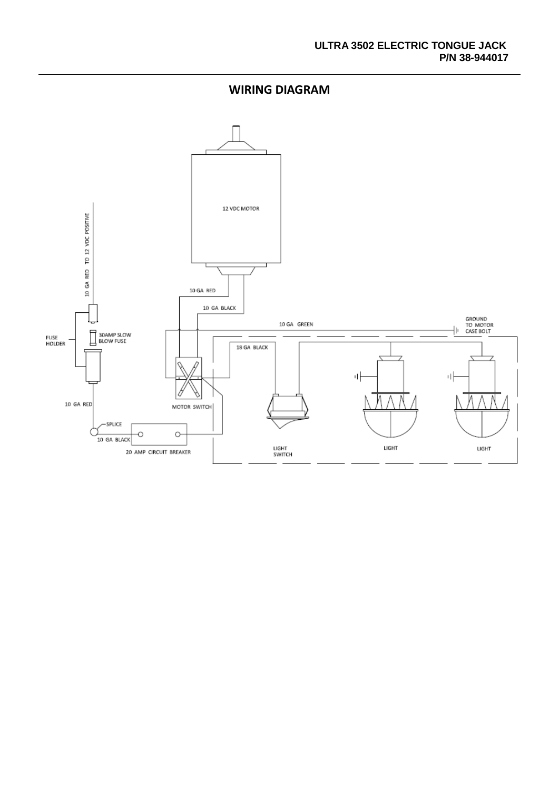**WIRING DIAGRAM**